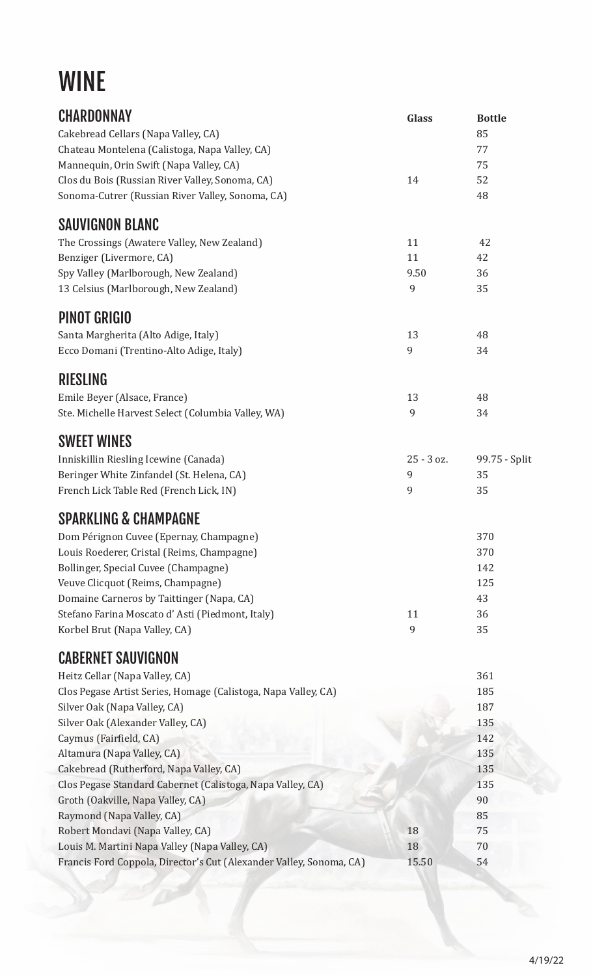# WINE

| CHARDONNAY                                                          | <b>Glass</b> | <b>Bottle</b> |
|---------------------------------------------------------------------|--------------|---------------|
| Cakebread Cellars (Napa Valley, CA)                                 |              | 85            |
| Chateau Montelena (Calistoga, Napa Valley, CA)                      |              | 77            |
| Mannequin, Orin Swift (Napa Valley, CA)                             |              | 75            |
| Clos du Bois (Russian River Valley, Sonoma, CA)                     | 14           | 52            |
| Sonoma-Cutrer (Russian River Valley, Sonoma, CA)                    |              | 48            |
| <b>SAUVIGNON BLANC</b>                                              |              |               |
| The Crossings (Awatere Valley, New Zealand)                         | 11           | 42            |
| Benziger (Livermore, CA)                                            | 11           | 42            |
| Spy Valley (Marlborough, New Zealand)                               | 9.50         | 36            |
| 13 Celsius (Marlborough, New Zealand)                               | 9            | 35            |
| <b>PINOT GRIGIO</b>                                                 |              |               |
| Santa Margherita (Alto Adige, Italy)                                | 13           | 48            |
| Ecco Domani (Trentino-Alto Adige, Italy)                            | 9            | 34            |
| <b>RIESLING</b>                                                     |              |               |
| Emile Beyer (Alsace, France)                                        | 13           | 48            |
| Ste. Michelle Harvest Select (Columbia Valley, WA)                  | 9            | 34            |
| <b>SWEET WINES</b>                                                  |              |               |
| Inniskillin Riesling Icewine (Canada)                               | 25 - 3 oz.   | 99.75 - Split |
| Beringer White Zinfandel (St. Helena, CA)                           | 9            | 35            |
| French Lick Table Red (French Lick, IN)                             | 9            | 35            |
| <b>SPARKLING &amp; CHAMPAGNE</b>                                    |              |               |
| Dom Pérignon Cuvee (Epernay, Champagne)                             |              | 370           |
| Louis Roederer, Cristal (Reims, Champagne)                          |              | 370           |
| Bollinger, Special Cuvee (Champagne)                                |              | 142           |
| Veuve Clicquot (Reims, Champagne)                                   |              | 125           |
| Domaine Carneros by Taittinger (Napa, CA)                           |              | 43            |
| Stefano Farina Moscato d'Asti (Piedmont, Italy)                     | 11           | 36            |
| Korbel Brut (Napa Valley, CA)                                       | 9            | 35            |
| <b>CABERNET SAUVIGNON</b>                                           |              |               |
| Heitz Cellar (Napa Valley, CA)                                      |              | 361           |
| Clos Pegase Artist Series, Homage (Calistoga, Napa Valley, CA)      |              | 185           |
| Silver Oak (Napa Valley, CA)                                        |              | 187           |
| Silver Oak (Alexander Valley, CA)                                   |              | 135           |
| Caymus (Fairfield, CA)                                              |              | 142           |
| Altamura (Napa Valley, CA)                                          |              | 135           |
| Cakebread (Rutherford, Napa Valley, CA)                             |              | 135           |
| Clos Pegase Standard Cabernet (Calistoga, Napa Valley, CA)          |              | 135           |
| Groth (Oakville, Napa Valley, CA)                                   |              | 90            |
| Raymond (Napa Valley, CA)                                           |              | 85            |
| Robert Mondavi (Napa Valley, CA)                                    | 18           | 75            |
| Louis M. Martini Napa Valley (Napa Valley, CA)                      | 18           | 70            |
| Francis Ford Coppola, Director's Cut (Alexander Valley, Sonoma, CA) | 15.50        | 54            |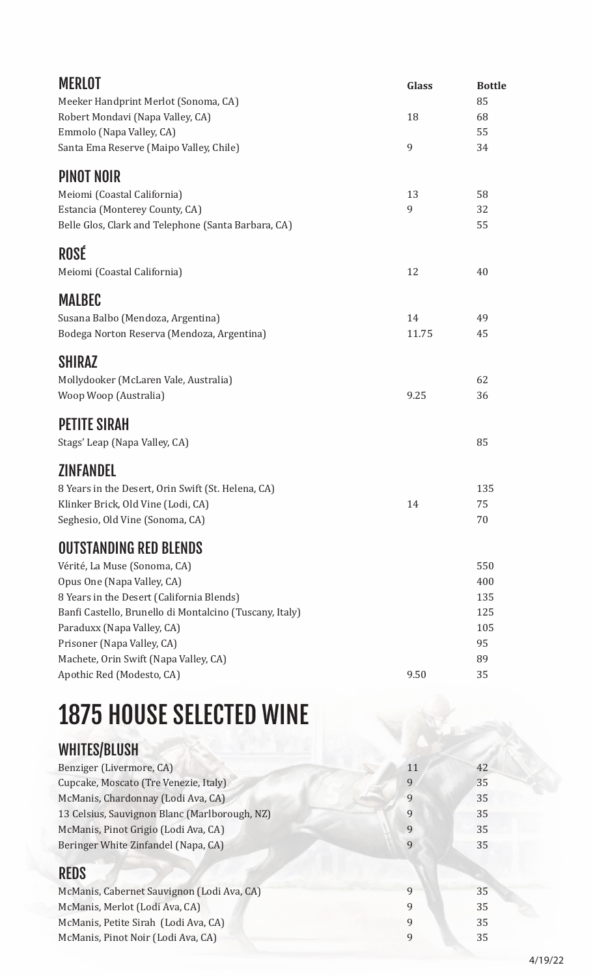| <b>MERLOT</b>                                                | <b>Glass</b> | <b>Bottle</b> |
|--------------------------------------------------------------|--------------|---------------|
| Meeker Handprint Merlot (Sonoma, CA)                         | 18           | 85<br>68      |
| Robert Mondavi (Napa Valley, CA)<br>Emmolo (Napa Valley, CA) |              | 55            |
| Santa Ema Reserve (Maipo Valley, Chile)                      | 9            | 34            |
| <b>PINOT NOIR</b>                                            |              |               |
| Meiomi (Coastal California)                                  | 13           | 58            |
| Estancia (Monterey County, CA)                               | 9            | 32            |
| Belle Glos, Clark and Telephone (Santa Barbara, CA)          |              | 55            |
| ROSÉ                                                         |              |               |
| Meiomi (Coastal California)                                  | 12           | 40            |
| <b>MALBEC</b>                                                |              |               |
| Susana Balbo (Mendoza, Argentina)                            | 14           | 49            |
| Bodega Norton Reserva (Mendoza, Argentina)                   | 11.75        | 45            |
| <b>SHIRAZ</b>                                                |              |               |
| Mollydooker (McLaren Vale, Australia)                        |              | 62            |
| Woop Woop (Australia)                                        | 9.25         | 36            |
| <b>PETITE SIRAH</b>                                          |              |               |
| Stags' Leap (Napa Valley, CA)                                |              | 85            |
| <b>ZINFANDEL</b>                                             |              |               |
| 8 Years in the Desert, Orin Swift (St. Helena, CA)           |              | 135           |
| Klinker Brick, Old Vine (Lodi, CA)                           | 14           | 75            |
| Seghesio, Old Vine (Sonoma, CA)                              |              | 70            |
| <b>OUTSTANDING RED BLENDS</b>                                |              |               |
| Vérité, La Muse (Sonoma, CA)                                 |              | 550           |
| Opus One (Napa Valley, CA)                                   |              | 400           |
| 8 Years in the Desert (California Blends)                    |              | 135           |
| Banfi Castello, Brunello di Montalcino (Tuscany, Italy)      |              | 125           |
| Paraduxx (Napa Valley, CA)                                   |              | 105           |
| Prisoner (Napa Valley, CA)                                   |              | 95            |
| Machete, Orin Swift (Napa Valley, CA)                        |              | 89            |
| Apothic Red (Modesto, CA)                                    | 9.50         | 35            |

# 1875 HOUSE SELECTED WINE

## WHITES/BLUSH

| Benziger (Livermore, CA)                      | 11 | 42 |
|-----------------------------------------------|----|----|
| Cupcake, Moscato (Tre Venezie, Italy)         |    | 35 |
| McManis, Chardonnay (Lodi Ava, CA)            | q  | 35 |
| 13 Celsius, Sauvignon Blanc (Marlborough, NZ) | 9  | 35 |
| McManis, Pinot Grigio (Lodi Ava, CA)          |    | 35 |
| Beringer White Zinfandel (Napa, CA)           |    | 35 |
|                                               |    |    |

## REDS

| 35 |
|----|
| 35 |
| 35 |
| 35 |
|    |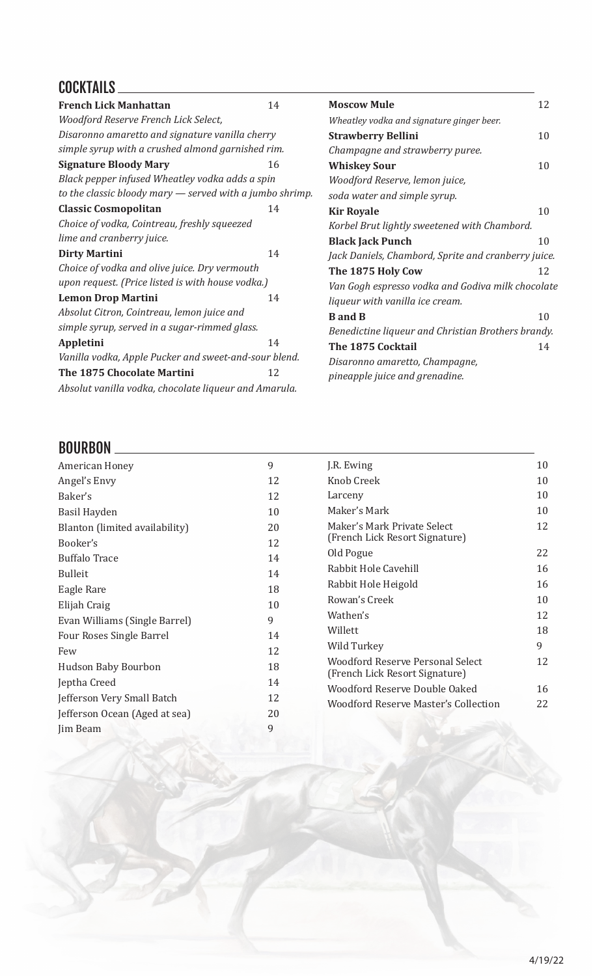### COCKTAILS

| <b>French Lick Manhattan</b>                               | 14 | <b>Moscow Mule</b>                                  | 12 |
|------------------------------------------------------------|----|-----------------------------------------------------|----|
| Woodford Reserve French Lick Select,                       |    | Wheatley vodka and signature ginger beer.           |    |
| Disaronno amaretto and signature vanilla cherry            |    | <b>Strawberry Bellini</b>                           | 10 |
| simple syrup with a crushed almond garnished rim.          |    | Champagne and strawberry puree.                     |    |
| <b>Signature Bloody Mary</b>                               | 16 | <b>Whiskey Sour</b>                                 | 10 |
| Black pepper infused Wheatley vodka adds a spin            |    | Woodford Reserve, lemon juice,                      |    |
| to the classic bloody mary $-$ served with a jumbo shrimp. |    | soda water and simple syrup.                        |    |
| <b>Classic Cosmopolitan</b>                                | 14 | <b>Kir Royale</b>                                   | 10 |
| Choice of vodka, Cointreau, freshly squeezed               |    | Korbel Brut lightly sweetened with Chambord.        |    |
| lime and cranberry juice.                                  |    | <b>Black Jack Punch</b>                             | 10 |
| <b>Dirty Martini</b>                                       | 14 | Jack Daniels, Chambord, Sprite and cranberry juice. |    |
| Choice of vodka and olive juice. Dry vermouth              |    | The 1875 Holy Cow                                   | 12 |
| upon request. (Price listed is with house vodka.)          |    | Van Gogh espresso vodka and Godiva milk chocolate   |    |
| <b>Lemon Drop Martini</b>                                  | 14 | liqueur with vanilla ice cream.                     |    |
| Absolut Citron, Cointreau, lemon juice and                 |    | <b>B</b> and <b>B</b>                               | 10 |
| simple syrup, served in a sugar-rimmed glass.              |    | Benedictine liqueur and Christian Brothers brandy.  |    |
| <b>Appletini</b>                                           | 14 | The 1875 Cocktail                                   | 14 |
| Vanilla vodka, Apple Pucker and sweet-and-sour blend.      |    | Disaronno amaretto, Champagne,                      |    |
| The 1875 Chocolate Martini                                 | 12 | pineapple juice and grenadine.                      |    |
| Absolut vanilla vodka, chocolate liqueur and Amarula.      |    |                                                     |    |

#### BOURBON

| American Honey                 | 9  | J.R. Ewing                                  | 10 |
|--------------------------------|----|---------------------------------------------|----|
| Angel's Envy                   | 12 | Knob Creek                                  | 10 |
| Baker's                        | 12 | Larceny                                     | 10 |
| Basil Hayden                   | 10 | Maker's Mark                                | 10 |
| Blanton (limited availability) | 20 | Maker's Mark Private Select                 | 12 |
| Booker's                       | 12 | (French Lick Resort Signature)              |    |
| <b>Buffalo Trace</b>           | 14 | Old Pogue                                   | 22 |
| <b>Bulleit</b>                 | 14 | Rabbit Hole Cavehill                        | 16 |
|                                |    | Rabbit Hole Heigold                         | 16 |
| Eagle Rare                     | 18 | Rowan's Creek                               | 10 |
| Elijah Craig                   | 10 |                                             |    |
| Evan Williams (Single Barrel)  | 9  | Wathen's                                    | 12 |
| Four Roses Single Barrel       | 14 | Willett                                     | 18 |
| Few                            | 12 | Wild Turkey                                 | 9  |
|                                |    | Woodford Reserve Personal Select            | 12 |
| Hudson Baby Bourbon            | 18 | (French Lick Resort Signature)              |    |
| Jeptha Creed                   | 14 | Woodford Reserve Double Oaked               | 16 |
| Jefferson Very Small Batch     | 12 |                                             |    |
| Jefferson Ocean (Aged at sea)  | 20 | <b>Woodford Reserve Master's Collection</b> | 22 |
| Jim Beam                       | 9  |                                             |    |
|                                |    |                                             |    |